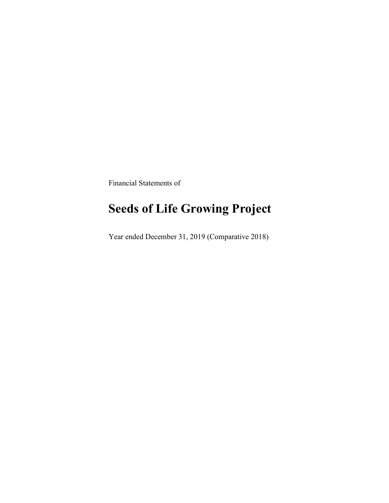Financial Statements of

# Seeds of Life Growing Project

Year ended December 31, 2019 (Comparative 2018)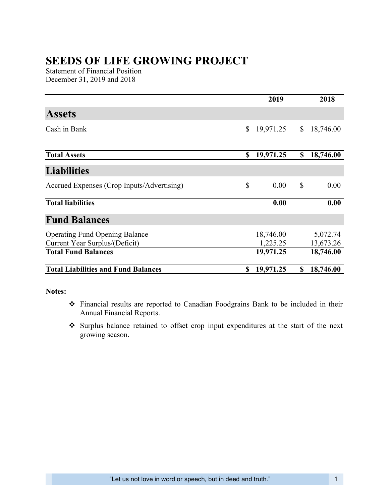## SEEDS OF LIFE GROWING PROJECT

Statement of Financial Position December 31, 2019 and 2018

|                                                                         |               | 2019                  | 2018                  |
|-------------------------------------------------------------------------|---------------|-----------------------|-----------------------|
| <b>Assets</b>                                                           |               |                       |                       |
| Cash in Bank                                                            | \$            | 19,971.25             | \$<br>18,746.00       |
| <b>Total Assets</b>                                                     | \$            | 19,971.25             | \$<br>18,746.00       |
| <b>Liabilities</b>                                                      |               |                       |                       |
| Accrued Expenses (Crop Inputs/Advertising)                              | $\mathcal{S}$ | 0.00                  | \$<br>0.00            |
| <b>Total liabilities</b>                                                |               | 0.00                  | 0.00                  |
| <b>Fund Balances</b>                                                    |               |                       |                       |
| <b>Operating Fund Opening Balance</b><br>Current Year Surplus/(Deficit) |               | 18,746.00<br>1,225.25 | 5,072.74<br>13,673.26 |
| <b>Total Fund Balances</b>                                              |               | 19,971.25             | 18,746.00             |
| <b>Total Liabilities and Fund Balances</b>                              | S             | 19,971.25             | \$<br>18,746.00       |

#### Notes:

- Financial results are reported to Canadian Foodgrains Bank to be included in their Annual Financial Reports.
- Surplus balance retained to offset crop input expenditures at the start of the next growing season.